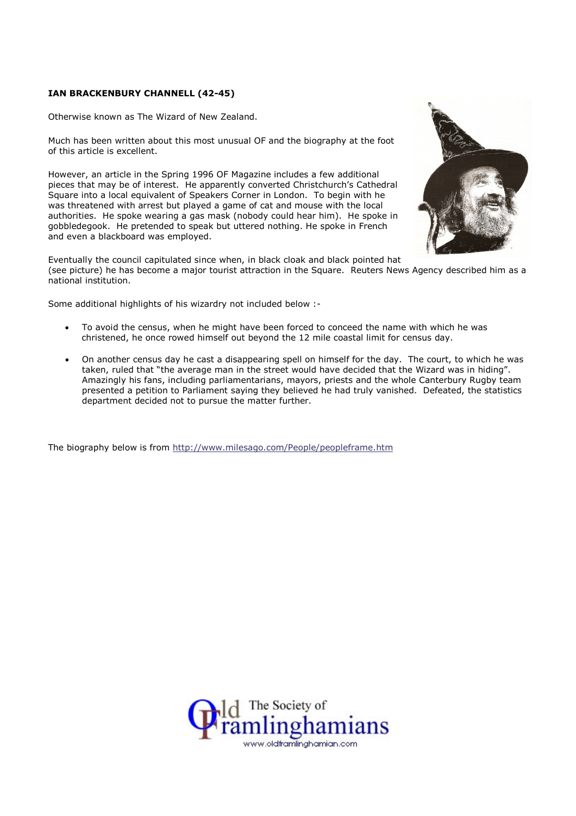## IAN BRACKENBURY CHANNELL (42-45)

Otherwise known as The Wizard of New Zealand.

Much has been written about this most unusual OF and the biography at the foot of this article is excellent.

However, an article in the Spring 1996 OF Magazine includes a few additional pieces that may be of interest. He apparently converted Christchurch's Cathedral Square into a local equivalent of Speakers Corner in London. To begin with he was threatened with arrest but played a game of cat and mouse with the local authorities. He spoke wearing a gas mask (nobody could hear him). He spoke in gobbledegook. He pretended to speak but uttered nothing. He spoke in French and even a blackboard was employed.



Eventually the council capitulated since when, in black cloak and black pointed hat (see picture) he has become a major tourist attraction in the Square. Reuters News Agency described him as a national institution.

Some additional highlights of his wizardry not included below :-

- To avoid the census, when he might have been forced to conceed the name with which he was christened, he once rowed himself out beyond the 12 mile coastal limit for census day.
- On another census day he cast a disappearing spell on himself for the day. The court, to which he was taken, ruled that "the average man in the street would have decided that the Wizard was in hiding". Amazingly his fans, including parliamentarians, mayors, priests and the whole Canterbury Rugby team presented a petition to Parliament saying they believed he had truly vanished. Defeated, the statistics department decided not to pursue the matter further.

The biography below is from http://www.milesago.com/People/peopleframe.htm

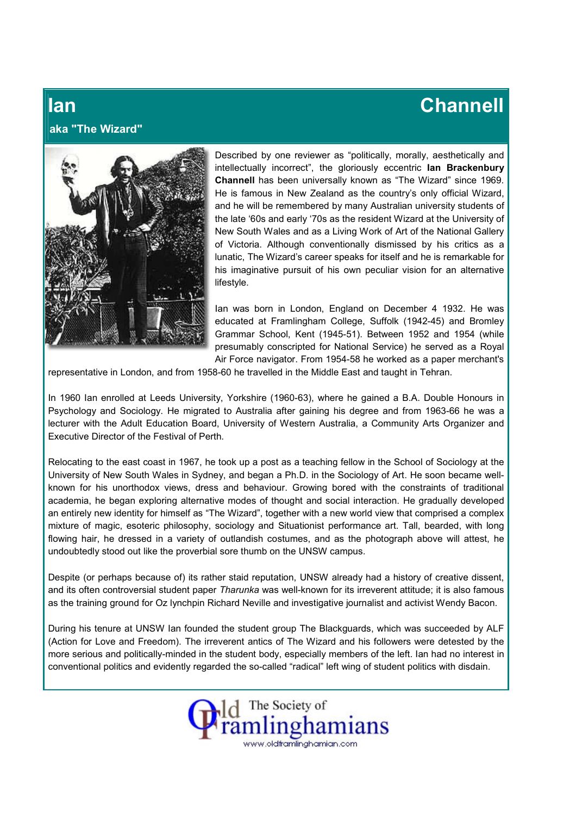## Ian Channell

## aka "The Wizard"



Described by one reviewer as "politically, morally, aesthetically and intellectually incorrect", the gloriously eccentric lan Brackenbury Channell has been universally known as "The Wizard" since 1969. He is famous in New Zealand as the country's only official Wizard, and he will be remembered by many Australian university students of the late '60s and early '70s as the resident Wizard at the University of New South Wales and as a Living Work of Art of the National Gallery of Victoria. Although conventionally dismissed by his critics as a lunatic, The Wizard's career speaks for itself and he is remarkable for his imaginative pursuit of his own peculiar vision for an alternative lifestyle.

Ian was born in London, England on December 4 1932. He was educated at Framlingham College, Suffolk (1942-45) and Bromley Grammar School, Kent (1945-51). Between 1952 and 1954 (while presumably conscripted for National Service) he served as a Royal Air Force navigator. From 1954-58 he worked as a paper merchant's

representative in London, and from 1958-60 he travelled in the Middle East and taught in Tehran.

In 1960 Ian enrolled at Leeds University, Yorkshire (1960-63), where he gained a B.A. Double Honours in Psychology and Sociology. He migrated to Australia after gaining his degree and from 1963-66 he was a lecturer with the Adult Education Board, University of Western Australia, a Community Arts Organizer and Executive Director of the Festival of Perth.

Relocating to the east coast in 1967, he took up a post as a teaching fellow in the School of Sociology at the University of New South Wales in Sydney, and began a Ph.D. in the Sociology of Art. He soon became wellknown for his unorthodox views, dress and behaviour. Growing bored with the constraints of traditional academia, he began exploring alternative modes of thought and social interaction. He gradually developed an entirely new identity for himself as "The Wizard", together with a new world view that comprised a complex mixture of magic, esoteric philosophy, sociology and Situationist performance art. Tall, bearded, with long flowing hair, he dressed in a variety of outlandish costumes, and as the photograph above will attest, he undoubtedly stood out like the proverbial sore thumb on the UNSW campus.

Despite (or perhaps because of) its rather staid reputation, UNSW already had a history of creative dissent, and its often controversial student paper Tharunka was well-known for its irreverent attitude; it is also famous as the training ground for Oz lynchpin Richard Neville and investigative journalist and activist Wendy Bacon.

During his tenure at UNSW Ian founded the student group The Blackguards, which was succeeded by ALF (Action for Love and Freedom). The irreverent antics of The Wizard and his followers were detested by the more serious and politically-minded in the student body, especially members of the left. Ian had no interest in conventional politics and evidently regarded the so-called "radical" left wing of student politics with disdain.

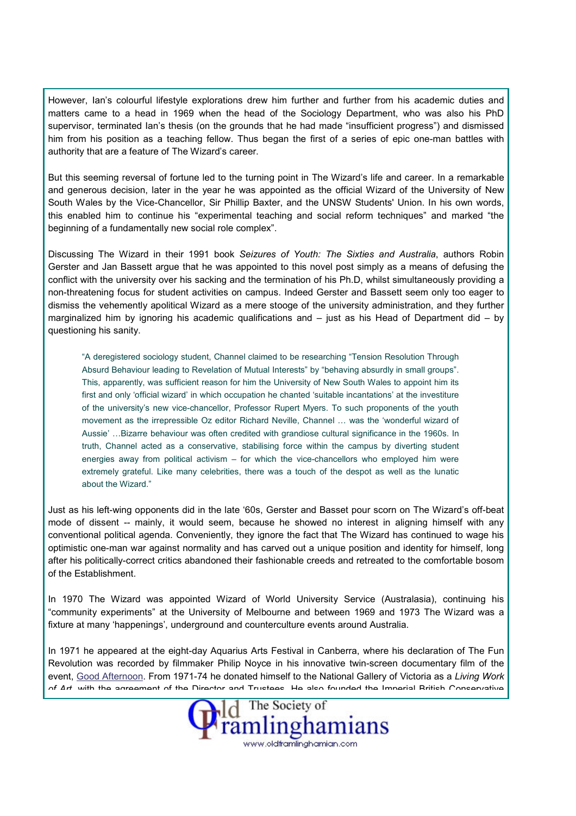However, Ian's colourful lifestyle explorations drew him further and further from his academic duties and matters came to a head in 1969 when the head of the Sociology Department, who was also his PhD supervisor, terminated Ian's thesis (on the grounds that he had made "insufficient progress") and dismissed him from his position as a teaching fellow. Thus began the first of a series of epic one-man battles with authority that are a feature of The Wizard's career.

But this seeming reversal of fortune led to the turning point in The Wizard's life and career. In a remarkable and generous decision, later in the year he was appointed as the official Wizard of the University of New South Wales by the Vice-Chancellor, Sir Phillip Baxter, and the UNSW Students' Union. In his own words, this enabled him to continue his "experimental teaching and social reform techniques" and marked "the beginning of a fundamentally new social role complex".

Discussing The Wizard in their 1991 book Seizures of Youth: The Sixties and Australia, authors Robin Gerster and Jan Bassett argue that he was appointed to this novel post simply as a means of defusing the conflict with the university over his sacking and the termination of his Ph.D, whilst simultaneously providing a non-threatening focus for student activities on campus. Indeed Gerster and Bassett seem only too eager to dismiss the vehemently apolitical Wizard as a mere stooge of the university administration, and they further marginalized him by ignoring his academic qualifications and – just as his Head of Department did – by questioning his sanity.

"A deregistered sociology student, Channel claimed to be researching "Tension Resolution Through Absurd Behaviour leading to Revelation of Mutual Interests" by "behaving absurdly in small groups". This, apparently, was sufficient reason for him the University of New South Wales to appoint him its first and only 'official wizard' in which occupation he chanted 'suitable incantations' at the investiture of the university's new vice-chancellor, Professor Rupert Myers. To such proponents of the youth movement as the irrepressible Oz editor Richard Neville, Channel … was the 'wonderful wizard of Aussie' …Bizarre behaviour was often credited with grandiose cultural significance in the 1960s. In truth, Channel acted as a conservative, stabilising force within the campus by diverting student energies away from political activism – for which the vice-chancellors who employed him were extremely grateful. Like many celebrities, there was a touch of the despot as well as the lunatic about the Wizard."

Just as his left-wing opponents did in the late '60s, Gerster and Basset pour scorn on The Wizard's off-beat mode of dissent -- mainly, it would seem, because he showed no interest in aligning himself with any conventional political agenda. Conveniently, they ignore the fact that The Wizard has continued to wage his optimistic one-man war against normality and has carved out a unique position and identity for himself, long after his politically-correct critics abandoned their fashionable creeds and retreated to the comfortable bosom of the Establishment.

In 1970 The Wizard was appointed Wizard of World University Service (Australasia), continuing his "community experiments" at the University of Melbourne and between 1969 and 1973 The Wizard was a fixture at many 'happenings', underground and counterculture events around Australia.

In 1971 he appeared at the eight-day Aquarius Arts Festival in Canberra, where his declaration of The Fun Revolution was recorded by filmmaker Philip Noyce in his innovative twin-screen documentary film of the event, Good Afternoon. From 1971-74 he donated himself to the National Gallery of Victoria as a Living Work of Art, with the agreement of the Director and Tructees. He also founded the Imperial British Conservative

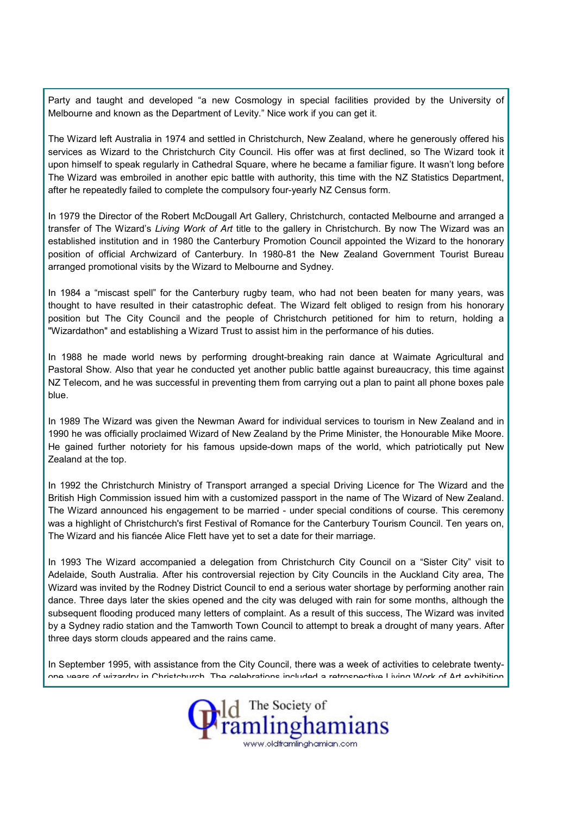Party and taught and developed "a new Cosmology in special facilities provided by the University of Melbourne and known as the Department of Levity." Nice work if you can get it.

The Wizard left Australia in 1974 and settled in Christchurch, New Zealand, where he generously offered his services as Wizard to the Christchurch City Council. His offer was at first declined, so The Wizard took it upon himself to speak regularly in Cathedral Square, where he became a familiar figure. It wasn't long before The Wizard was embroiled in another epic battle with authority, this time with the NZ Statistics Department, after he repeatedly failed to complete the compulsory four-yearly NZ Census form.

In 1979 the Director of the Robert McDougall Art Gallery, Christchurch, contacted Melbourne and arranged a transfer of The Wizard's *Living Work of Art* title to the gallery in Christchurch. By now The Wizard was an established institution and in 1980 the Canterbury Promotion Council appointed the Wizard to the honorary position of official Archwizard of Canterbury. In 1980-81 the New Zealand Government Tourist Bureau arranged promotional visits by the Wizard to Melbourne and Sydney.

In 1984 a "miscast spell" for the Canterbury rugby team, who had not been beaten for many years, was thought to have resulted in their catastrophic defeat. The Wizard felt obliged to resign from his honorary position but The City Council and the people of Christchurch petitioned for him to return, holding a "Wizardathon" and establishing a Wizard Trust to assist him in the performance of his duties.

In 1988 he made world news by performing drought-breaking rain dance at Waimate Agricultural and Pastoral Show. Also that year he conducted yet another public battle against bureaucracy, this time against NZ Telecom, and he was successful in preventing them from carrying out a plan to paint all phone boxes pale blue.

In 1989 The Wizard was given the Newman Award for individual services to tourism in New Zealand and in 1990 he was officially proclaimed Wizard of New Zealand by the Prime Minister, the Honourable Mike Moore. He gained further notoriety for his famous upside-down maps of the world, which patriotically put New Zealand at the top.

In 1992 the Christchurch Ministry of Transport arranged a special Driving Licence for The Wizard and the British High Commission issued him with a customized passport in the name of The Wizard of New Zealand. The Wizard announced his engagement to be married - under special conditions of course. This ceremony was a highlight of Christchurch's first Festival of Romance for the Canterbury Tourism Council. Ten years on, The Wizard and his fiancée Alice Flett have yet to set a date for their marriage.

In 1993 The Wizard accompanied a delegation from Christchurch City Council on a "Sister City" visit to Adelaide, South Australia. After his controversial rejection by City Councils in the Auckland City area, The Wizard was invited by the Rodney District Council to end a serious water shortage by performing another rain dance. Three days later the skies opened and the city was deluged with rain for some months, although the subsequent flooding produced many letters of complaint. As a result of this success, The Wizard was invited by a Sydney radio station and the Tamworth Town Council to attempt to break a drought of many years. After three days storm clouds appeared and the rains came.

In September 1995, with assistance from the City Council, there was a week of activities to celebrate twentyone years of wizardry in Christchurch. The celebrations included a retrospective Living Work of Art exhibition